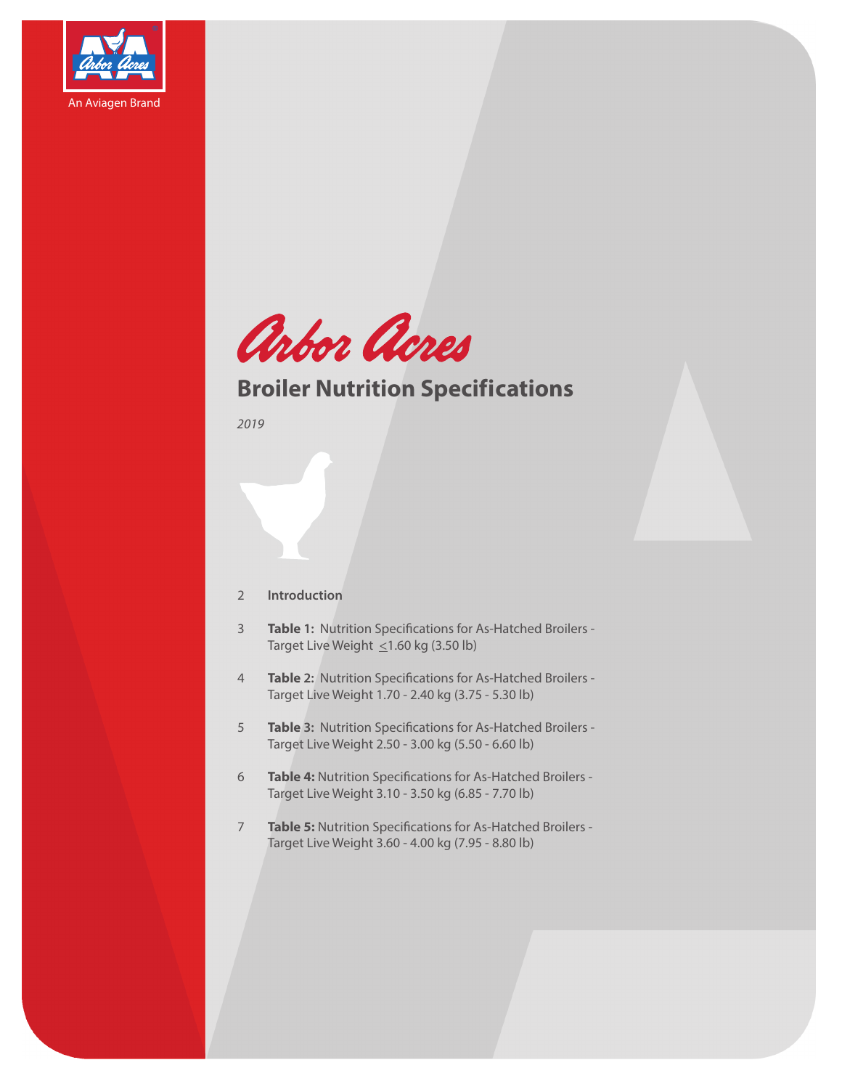



## **Broiler Nutrition Specifications**

*2019*

## 2 **Introduction**

- 3 **Table 1:** Nutrition Specifications for As-Hatched Broilers Target Live Weight  $\leq$ 1.60 kg (3.50 lb)
- 4 **Table 2:** Nutrition Specifications for As-Hatched Broilers Target Live Weight 1.70 - 2.40 kg (3.75 - 5.30 lb)
- 5 **Table 3:** Nutrition Specifications for As-Hatched Broilers Target Live Weight 2.50 - 3.00 kg (5.50 - 6.60 lb)
- 6 **Table 4:** Nutrition Specifications for As-Hatched Broilers Target Live Weight 3.10 - 3.50 kg (6.85 - 7.70 lb)
- 7 **Table 5:** Nutrition Specifications for As-Hatched Broilers Target Live Weight 3.60 - 4.00 kg (7.95 - 8.80 lb)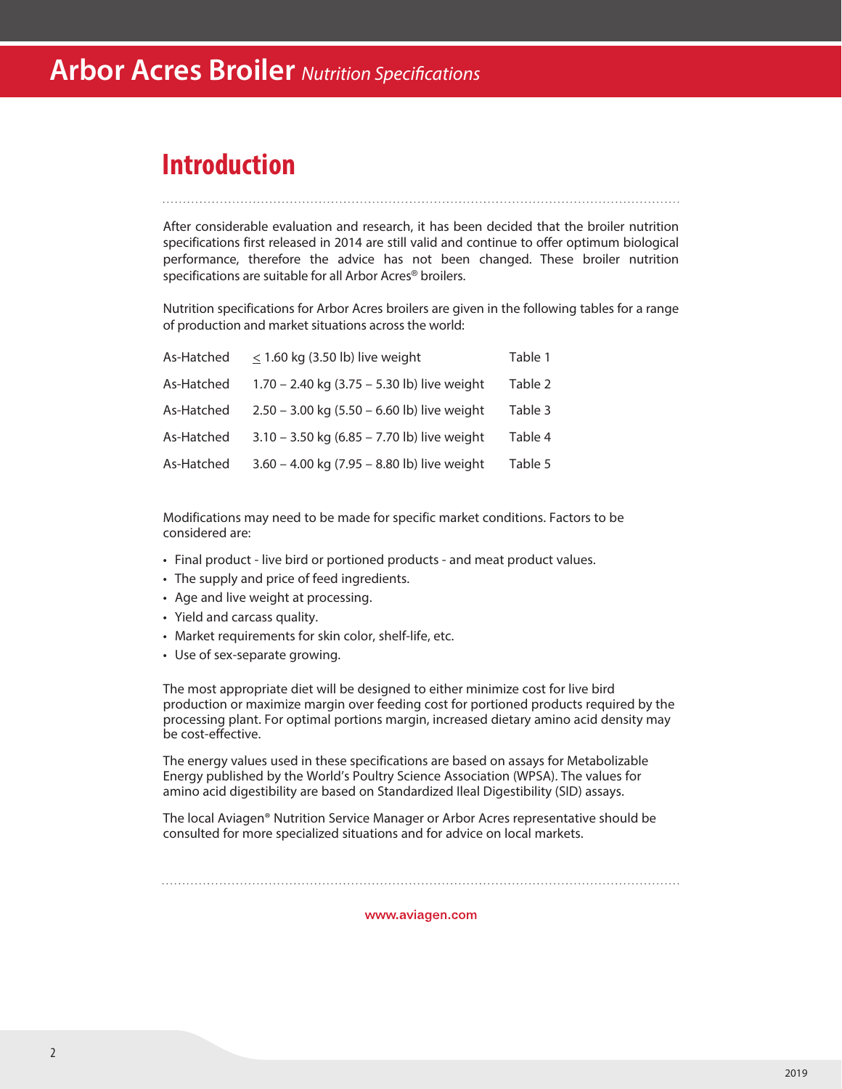## **Introduction**

After considerable evaluation and research, it has been decided that the broiler nutrition specifications first released in 2014 are still valid and continue to offer optimum biological performance, therefore the advice has not been changed. These broiler nutrition specifications are suitable for all Arbor Acres® broilers.

Nutrition specifications for Arbor Acres broilers are given in the following tables for a range of production and market situations across the world:

| As-Hatched | $<$ 1.60 kg (3.50 lb) live weight             | Table 1 |
|------------|-----------------------------------------------|---------|
| As-Hatched | 1.70 - 2.40 kg (3.75 - 5.30 lb) live weight   | Table 2 |
| As-Hatched | $2.50 - 3.00$ kg (5.50 - 6.60 lb) live weight | Table 3 |
| As-Hatched | $3.10 - 3.50$ kg (6.85 - 7.70 lb) live weight | Table 4 |
| As-Hatched | 3.60 - 4.00 kg (7.95 - 8.80 lb) live weight   | Table 5 |

Modifications may need to be made for specific market conditions. Factors to be considered are:

- Final product live bird or portioned products and meat product values.
- The supply and price of feed ingredients.
- Age and live weight at processing.
- Yield and carcass quality.
- Market requirements for skin color, shelf-life, etc.
- Use of sex-separate growing.

The most appropriate diet will be designed to either minimize cost for live bird production or maximize margin over feeding cost for portioned products required by the processing plant. For optimal portions margin, increased dietary amino acid density may be cost-effective.

The energy values used in these specifications are based on assays for Metabolizable Energy published by the World's Poultry Science Association (WPSA). The values for amino acid digestibility are based on Standardized Ileal Digestibility (SID) assays.

The local Aviagen® Nutrition Service Manager or Arbor Acres representative should be consulted for more specialized situations and for advice on local markets.

www.aviagen.com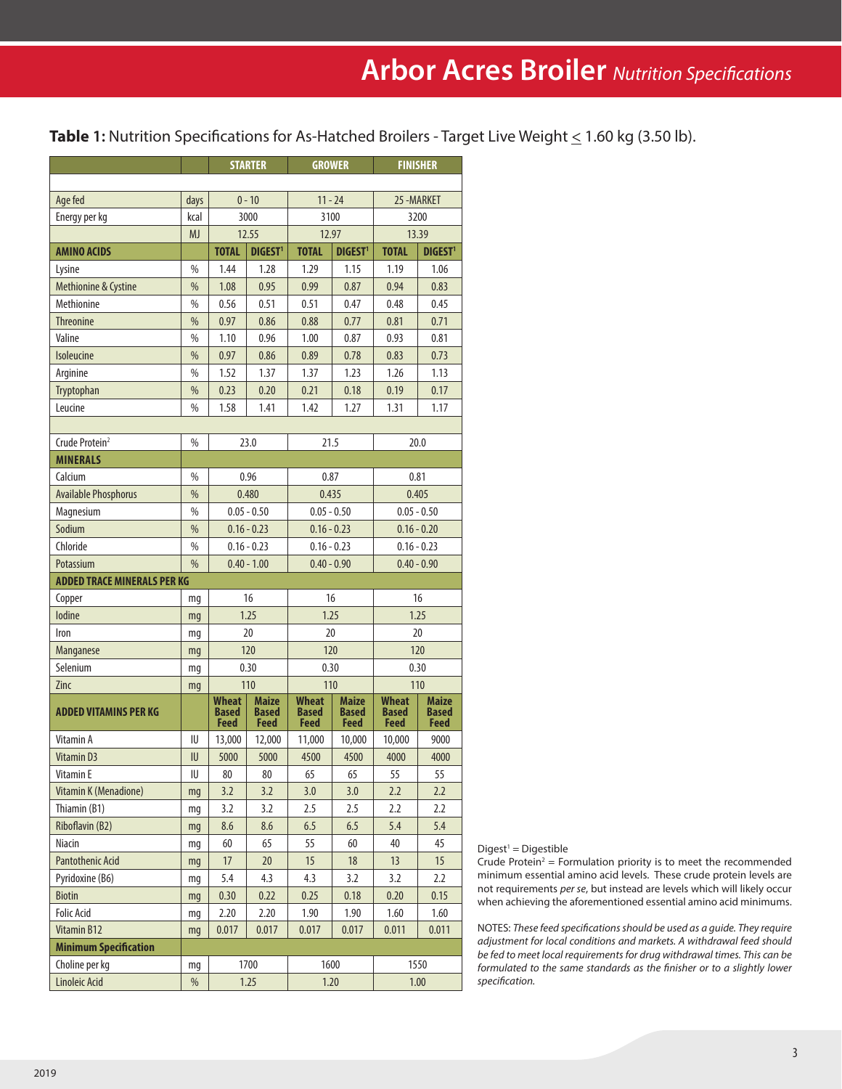**Table 1:** Nutrition Specifications for As-Hatched Broilers - Target Live Weight ≤ 1.60 kg (3.50 lb).

|                                    |               | <b>STARTER</b>                       |                                             | <b>GROWER</b>                        |                                      | <b>FINISHER</b>                      |                               |  |
|------------------------------------|---------------|--------------------------------------|---------------------------------------------|--------------------------------------|--------------------------------------|--------------------------------------|-------------------------------|--|
|                                    |               |                                      |                                             |                                      |                                      |                                      |                               |  |
| Age fed                            | days          | $0 - 10$                             |                                             | $11 - 24$                            |                                      | 25-MARKET                            |                               |  |
| Energy per kg                      | kcal          | 3000                                 |                                             | 3100                                 |                                      | 3200                                 |                               |  |
|                                    | <b>MJ</b>     | 12.55                                |                                             | 12.97                                |                                      |                                      | 13.39                         |  |
| <b>AMINO ACIDS</b>                 |               | <b>TOTAL</b>                         | <b>DIGEST<sup>1</sup></b>                   | <b>TOTAL</b>                         | <b>DIGEST<sup>1</sup></b>            | <b>TOTAL</b>                         | DIGEST <sup>1</sup>           |  |
| Lysine                             | %             | 1.44                                 | 1.28                                        | 1.29                                 | 1.15                                 | 1.19                                 | 1.06                          |  |
| Methionine & Cystine               | %             | 1.08                                 | 0.95                                        | 0.99                                 | 0.87                                 | 0.94                                 | 0.83                          |  |
| Methionine                         | %             | 0.56                                 | 0.51                                        | 0.51                                 | 0.47                                 | 0.48                                 | 0.45                          |  |
| <b>Threonine</b>                   | %             | 0.97                                 | 0.86                                        | 0.88                                 | 0.77                                 | 0.81                                 | 0.71                          |  |
| Valine                             | $\%$          | 1.10                                 | 0.96                                        | 1.00                                 | 0.87                                 | 0.93                                 | 0.81                          |  |
| <b>Isoleucine</b>                  | %             | 0.97                                 | 0.86                                        | 0.89                                 | 0.78                                 | 0.83                                 | 0.73                          |  |
| Arginine                           | %             | 1.52                                 | 1.37                                        | 1.37                                 | 1.23                                 | 1.26                                 | 1.13                          |  |
| Tryptophan                         | %             | 0.23                                 | 0.20                                        | 0.21                                 | 0.18                                 | 0.19                                 | 0.17                          |  |
| Leucine                            | %             | 1.58                                 | 1.41                                        | 1.42                                 | 1.27                                 | 1.31                                 | 1.17                          |  |
|                                    |               |                                      |                                             |                                      |                                      |                                      |                               |  |
| Crude Protein <sup>2</sup>         | %             |                                      | 23.0                                        | 21.5                                 |                                      |                                      | 20.0                          |  |
| <b>MINERALS</b>                    |               |                                      |                                             |                                      |                                      |                                      |                               |  |
| Calcium                            | $\%$          |                                      | 0.96                                        | 0.87                                 |                                      |                                      | 0.81                          |  |
| <b>Available Phosphorus</b>        | $\frac{0}{0}$ |                                      | 0.480                                       | 0.435                                |                                      | 0.405                                |                               |  |
| Magnesium                          | $\%$          |                                      | $0.05 - 0.50$<br>$0.05 - 0.50$              |                                      |                                      | $0.05 - 0.50$                        |                               |  |
| Sodium                             | %             |                                      | $0.16 - 0.23$                               | $0.16 - 0.23$                        |                                      |                                      | $0.16 - 0.20$                 |  |
| Chloride                           | %             |                                      | $0.16 - 0.23$                               | $0.16 - 0.23$                        |                                      |                                      | $0.16 - 0.23$                 |  |
| Potassium                          | $\%$          |                                      | $0.40 - 1.00$                               | $0.40 - 0.90$                        |                                      |                                      | $0.40 - 0.90$                 |  |
| <b>ADDED TRACE MINERALS PER KG</b> |               |                                      |                                             |                                      |                                      |                                      |                               |  |
| Copper                             | mg            |                                      | 16                                          | 16                                   |                                      |                                      | 16                            |  |
| lodine                             | mq            |                                      | 1.25                                        | 1.25                                 |                                      |                                      | 1.25                          |  |
| Iron                               | mq            |                                      | 20                                          | 20                                   |                                      | 20                                   |                               |  |
| Manganese                          | mq            |                                      | 120                                         | 120                                  |                                      |                                      | 120                           |  |
| Selenium                           | mg            |                                      | 0.30                                        | 0.30                                 |                                      | 0.30                                 |                               |  |
| Zinc                               | mg            |                                      | 110                                         | 110                                  |                                      | 110                                  |                               |  |
| <b>ADDED VITAMINS PER KG</b>       |               | Wheat<br><b>Based</b><br><b>Feed</b> | <b>Maize</b><br><b>Based</b><br><b>Feed</b> | <b>Wheat</b><br><b>Based</b><br>Feed | <b>Maize</b><br><b>Based</b><br>Feed | <b>Wheat</b><br><b>Based</b><br>Feed | Maize<br><b>Based</b><br>Feed |  |
| Vitamin A                          | IU            | 13,000                               | 12,000                                      | 11,000                               | 10,000                               | 10,000                               | 9000                          |  |
| Vitamin D3                         | IU            | 5000                                 | 5000                                        | 4500                                 | 4500                                 | 4000                                 | 4000                          |  |
| Vitamin E                          | IU            | $80\,$                               | $80\,$                                      | 65                                   | 65                                   | 55                                   | 55                            |  |
| Vitamin K (Menadione)              | mg            | 3.2                                  | 3.2                                         | 3.0                                  | 3.0                                  | 2.2                                  | 2.2                           |  |
| Thiamin (B1)                       | mg            | 3.2                                  | 3.2                                         | 2.5                                  | 2.5                                  | 2.2                                  | 2.2                           |  |
| Riboflavin (B2)                    | mg            | 8.6                                  | 8.6                                         | 6.5                                  | 6.5                                  | 5.4                                  | 5.4                           |  |
| Niacin                             | mg            | 60                                   | 65                                          | 55                                   | 60                                   | 40                                   | 45                            |  |
| <b>Pantothenic Acid</b>            | mg            | 17                                   | 20                                          | 15                                   | 18                                   | 13                                   | 15                            |  |
| Pyridoxine (B6)                    | mg            | 5.4                                  | 4.3                                         | 4.3                                  | 3.2                                  | 3.2                                  | 2.2                           |  |
| Biotin                             | mg            | 0.30                                 | 0.22                                        | 0.25                                 | 0.18                                 | 0.20                                 | 0.15                          |  |
| <b>Folic Acid</b>                  | mg            | 2.20                                 | 2.20                                        | 1.90                                 | 1.90                                 | 1.60                                 | 1.60                          |  |
| Vitamin B12                        | mg            | 0.017                                | 0.017                                       | 0.017                                | 0.017                                | 0.011                                | 0.011                         |  |
| <b>Minimum Specification</b>       |               |                                      |                                             |                                      |                                      |                                      |                               |  |
| Choline per kg                     | mg            |                                      | 1700                                        | 1600                                 |                                      |                                      | 1550                          |  |
| Linoleic Acid                      | $\%$          |                                      | 1.25                                        |                                      | 1.20                                 | 1.00                                 |                               |  |

 $Digest<sup>1</sup> = Digestible$ 

Crude Protein<sup>2</sup> = Formulation priority is to meet the recommended minimum essential amino acid levels. These crude protein levels are not requirements *per se*, but instead are levels which will likely occur when achieving the aforementioned essential amino acid minimums.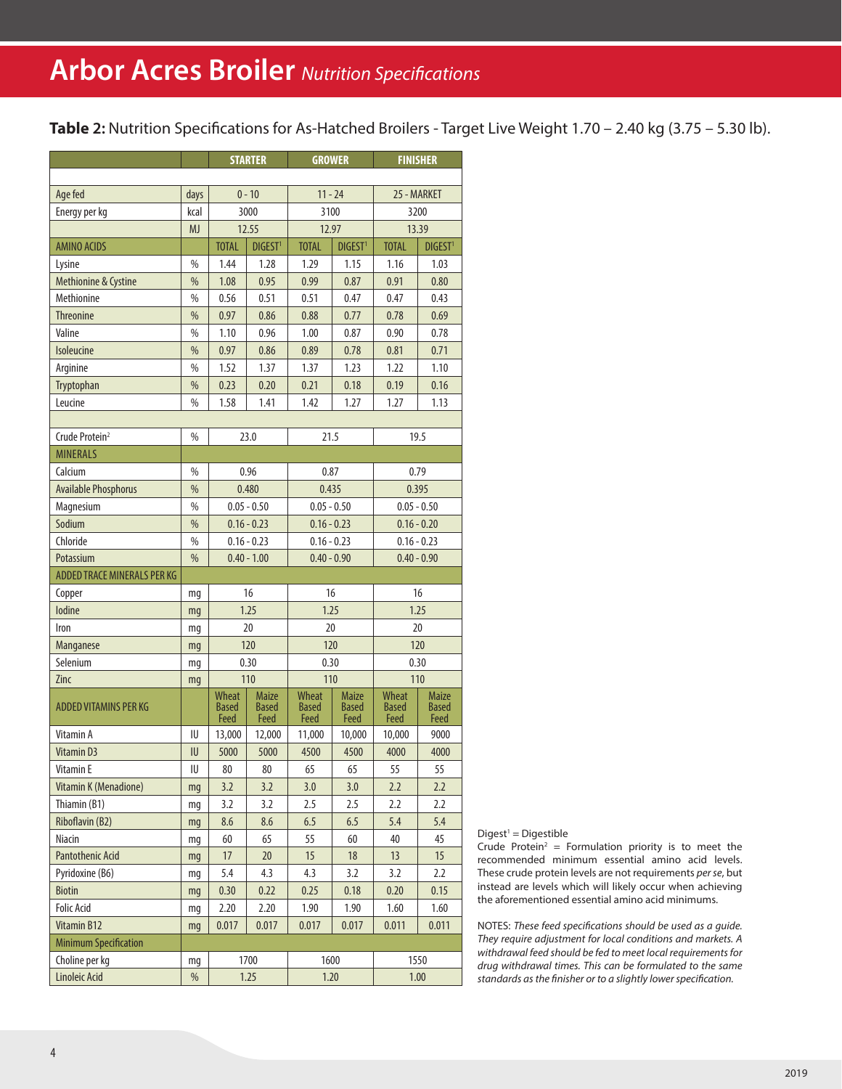**Table 2:** Nutrition Specifications for As-Hatched Broilers - Target Live Weight 1.70 – 2.40 kg (3.75 – 5.30 lb).

|                                    |               | <b>STARTER</b>                      |                                      | <b>GROWER</b>        |                                      | <b>FINISHER</b>                      |                                      |  |
|------------------------------------|---------------|-------------------------------------|--------------------------------------|----------------------|--------------------------------------|--------------------------------------|--------------------------------------|--|
|                                    |               |                                     |                                      |                      |                                      |                                      |                                      |  |
| Age fed                            | days          | $0 - 10$                            |                                      | $11 - 24$            |                                      | 25 - MARKET                          |                                      |  |
| Energy per kg                      | kcal          | 3000                                |                                      | 3100                 |                                      |                                      | 3200                                 |  |
|                                    | <b>MJ</b>     |                                     | 12.55                                | 12.97                |                                      | 13.39                                |                                      |  |
| <b>AMINO ACIDS</b>                 |               | <b>TOTAL</b><br>DIGEST <sup>1</sup> |                                      | <b>TOTAL</b>         | DIGEST <sup>1</sup>                  | <b>TOTAL</b>                         | <b>DIGEST1</b>                       |  |
| Lysine                             | %             | 1.44                                | 1.28                                 | 1.29                 | 1.15                                 | 1.16                                 | 1.03                                 |  |
| Methionine & Cystine               | %             | 1.08                                | 0.95                                 | 0.99                 | 0.87                                 | 0.91                                 | 0.80                                 |  |
| Methionine                         | %             | 0.56                                | 0.51                                 | 0.51                 | 0.47                                 | 0.47                                 | 0.43                                 |  |
| <b>Threonine</b>                   | %             | 0.97                                | 0.86                                 | 0.88                 | 0.77                                 | 0.78                                 | 0.69                                 |  |
| Valine                             | %             | 1.10                                | 0.96                                 | 1.00                 | 0.87                                 | 0.90                                 | 0.78                                 |  |
| <b>Isoleucine</b>                  | %             | 0.97                                | 0.86                                 | 0.89                 | 0.78                                 | 0.81                                 | 0.71                                 |  |
| Arginine                           | %             | 1.52                                | 1.37                                 | 1.37                 | 1.23                                 | 1.22                                 | 1.10                                 |  |
| Tryptophan                         | %             | 0.23                                | 0.20                                 | 0.21                 | 0.18                                 | 0.19                                 | 0.16                                 |  |
| Leucine                            | %             | 1.58                                | 1.41                                 | 1.42                 | 1.27                                 | 1.27                                 | 1.13                                 |  |
|                                    |               |                                     |                                      |                      |                                      |                                      |                                      |  |
| Crude Protein <sup>2</sup>         | %             |                                     | 23.0                                 | 21.5                 |                                      |                                      | 19.5                                 |  |
| <b>MINERALS</b>                    |               |                                     |                                      |                      |                                      |                                      |                                      |  |
| Calcium                            | $\%$          |                                     | 0.96                                 | 0.87                 |                                      |                                      | 0.79                                 |  |
| <b>Available Phosphorus</b>        | $\frac{0}{0}$ |                                     | 0.480                                | 0.435                |                                      |                                      | 0.395                                |  |
| Magnesium                          | $\%$          | $0.05 - 0.50$                       |                                      | $0.05 - 0.50$        |                                      | $0.05 - 0.50$                        |                                      |  |
| Sodium                             | $\frac{0}{0}$ | $0.16 - 0.23$<br>$0.16 - 0.23$      |                                      | $0.16 - 0.20$        |                                      |                                      |                                      |  |
| Chloride                           | %             |                                     | $0.16 - 0.23$                        | $0.16 - 0.23$        |                                      | $0.16 - 0.23$                        |                                      |  |
| Potassium                          | %             |                                     | $0.40 - 1.00$                        | $0.40 - 0.90$        |                                      | $0.40 - 0.90$                        |                                      |  |
| <b>ADDED TRACE MINERALS PER KG</b> |               |                                     |                                      |                      |                                      |                                      |                                      |  |
| Copper                             | mg            |                                     | 16                                   | 16                   |                                      |                                      | 16                                   |  |
| lodine                             | mq            |                                     | 1.25                                 | 1.25                 |                                      |                                      | 1.25                                 |  |
| Iron                               |               |                                     | 20                                   | 20                   |                                      | 20                                   |                                      |  |
|                                    | mg            |                                     | 120                                  | 120                  |                                      | 120                                  |                                      |  |
| Manganese                          | mq            |                                     | 0.30                                 | 0.30                 |                                      | 0.30                                 |                                      |  |
| Selenium                           | mq            |                                     |                                      | 110                  |                                      |                                      |                                      |  |
| Zinc                               | mg            | Wheat                               | 110                                  | Wheat                |                                      | 110                                  |                                      |  |
| <b>ADDED VITAMINS PER KG</b>       |               | <b>Based</b><br>Feed                | <b>Maize</b><br><b>Based</b><br>Feed | <b>Based</b><br>Feed | <b>Maize</b><br><b>Based</b><br>Feed | <b>Wheat</b><br><b>Based</b><br>Feed | <b>Maize</b><br><b>Based</b><br>Feed |  |
| Vitamin A                          | IU            | 13,000                              | 12,000                               | 11,000               | 10,000                               | 10,000                               | 9000                                 |  |
| Vitamin D3                         | IU            | 5000                                | 5000                                 | 4500                 | 4500                                 | 4000                                 | 4000                                 |  |
| Vitamin E                          | IU            | 80                                  | 80                                   | 65                   | 65                                   | 55                                   | 55                                   |  |
| Vitamin K (Menadione)              | mg            | 3.2                                 | 3.2                                  | 3.0                  | 3.0                                  | 2.2                                  | 2.2                                  |  |
| Thiamin (B1)                       | mg            | 3.2                                 | 3.2                                  | 2.5                  | 2.5                                  | 2.2                                  | 2.2                                  |  |
| Riboflavin (B2)                    | mg            | 8.6                                 | 8.6                                  | 6.5<br>6.5           |                                      | 5.4                                  | 5.4                                  |  |
| Niacin                             | mg            | 60                                  | 65                                   | 55                   | 60                                   | 40                                   | 45                                   |  |
| <b>Pantothenic Acid</b>            | mg            | 17                                  | 20                                   | 15                   | 18                                   | 13                                   | 15                                   |  |
| Pyridoxine (B6)                    | mg            | 5.4                                 | 4.3                                  | 4.3                  | 3.2                                  | 3.2                                  | 2.2                                  |  |
| Biotin                             | mg            | 0.30                                | 0.22                                 | 0.25                 | 0.18                                 | 0.20                                 | 0.15                                 |  |
| <b>Folic Acid</b>                  | mg            | 2.20                                | 2.20                                 | 1.90                 | 1.90                                 | 1.60                                 | 1.60                                 |  |
| <b>Vitamin B12</b>                 | mg            | 0.017                               | 0.017                                | 0.017                | 0.017                                | 0.011                                | 0.011                                |  |
| <b>Minimum Specification</b>       |               |                                     |                                      |                      |                                      |                                      |                                      |  |
| Choline per kg                     | mg            |                                     | 1700                                 | 1600                 |                                      |                                      | 1550                                 |  |
| Linoleic Acid                      | $\%$          |                                     | 1.25                                 | 1.20                 |                                      | 1.00                                 |                                      |  |

 $Digest<sup>1</sup> = Digestible$ 

Crude Protein<sup>2</sup> = Formulation priority is to meet the recommended minimum essential amino acid levels. These crude protein levels are not requirements *per se*, but instead are levels which will likely occur when achieving the aforementioned essential amino acid minimums.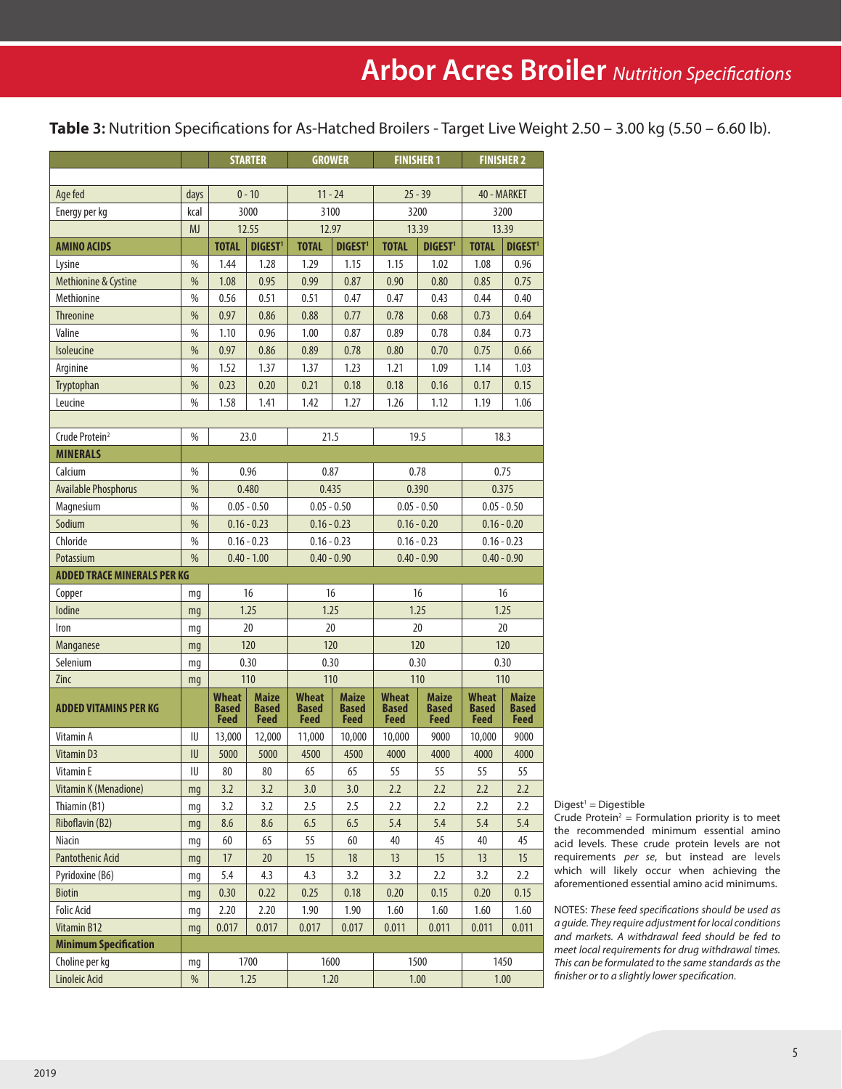**Table** 3: Nutrition Specifications for As-Hatched Broilers - Target Live Weight 2.50 - 3.00 kg (5.50 - 6.60 lb).

|                                    |               | <b>STARTER</b>                              |                                             | <b>GROWER</b>                               |                                      |                                      | <b>FINISHER 1</b>                           | <b>FINISHER 2</b>                           |                                      |  |
|------------------------------------|---------------|---------------------------------------------|---------------------------------------------|---------------------------------------------|--------------------------------------|--------------------------------------|---------------------------------------------|---------------------------------------------|--------------------------------------|--|
|                                    |               |                                             |                                             |                                             |                                      |                                      |                                             |                                             |                                      |  |
| Age fed                            | days          | $0 - 10$                                    |                                             | $11 - 24$                                   |                                      |                                      | $25 - 39$                                   | 40 - MARKET                                 |                                      |  |
| Energy per kg                      | kcal          | 3000                                        |                                             |                                             | 3100                                 |                                      | 3200                                        | 3200                                        |                                      |  |
|                                    | <b>MJ</b>     |                                             | 12.55                                       |                                             | 12.97                                |                                      | 13.39                                       |                                             | 13.39                                |  |
| <b>AMINO ACIDS</b>                 |               | <b>TOTAL</b>                                | <b>DIGEST<sup>1</sup></b>                   | <b>TOTAL</b>                                | <b>DIGEST<sup>1</sup></b>            | <b>TOTAL</b>                         | DIGEST <sup>1</sup>                         | <b>TOTAL</b>                                | DIGEST <sup>1</sup>                  |  |
| Lysine                             | $\%$          | 1.44                                        | 1.28                                        | 1.29                                        | 1.15                                 | 1.15                                 | 1.02                                        | 1.08                                        | 0.96                                 |  |
| Methionine & Cystine               | %             | 1.08                                        | 0.95                                        | 0.99                                        | 0.87                                 | 0.90                                 | 0.80                                        | 0.85                                        | 0.75                                 |  |
| Methionine                         | $\%$          | 0.56                                        | 0.51                                        | 0.51                                        | 0.47                                 | 0.47                                 | 0.43                                        | 0.44                                        | 0.40                                 |  |
| <b>Threonine</b>                   | $\%$          | 0.97                                        | 0.86                                        | 0.88                                        | 0.77                                 | 0.78                                 | 0.68                                        | 0.73                                        | 0.64                                 |  |
| Valine                             | %             | 1.10                                        | 0.96                                        | 1.00                                        | 0.87                                 | 0.89                                 | 0.78                                        | 0.84                                        | 0.73                                 |  |
| Isoleucine                         | $\%$          | 0.97                                        | 0.86                                        | 0.89                                        | 0.78                                 | 0.80                                 | 0.70                                        | 0.75                                        | 0.66                                 |  |
| Arginine                           | $\%$          | 1.52                                        | 1.37                                        | 1.37                                        | 1.23                                 | 1.21                                 | 1.09                                        | 1.14                                        | 1.03                                 |  |
| Tryptophan                         | %             | 0.23                                        | 0.20                                        | 0.21                                        | 0.18                                 | 0.18                                 | 0.16                                        | 0.17                                        | 0.15                                 |  |
| Leucine                            | $\%$          | 1.58                                        | 1.41                                        | 1.42                                        | 1.27                                 | 1.26                                 | 1.12                                        | 1.19                                        | 1.06                                 |  |
|                                    |               |                                             |                                             |                                             |                                      |                                      |                                             |                                             |                                      |  |
| Crude Protein <sup>2</sup>         | $\%$          |                                             | 23.0                                        | 21.5                                        |                                      |                                      | 19.5                                        |                                             | 18.3                                 |  |
| <b>MINERALS</b>                    |               |                                             |                                             |                                             |                                      |                                      |                                             |                                             |                                      |  |
| Calcium                            | $\%$          |                                             | 0.96                                        | 0.87                                        |                                      |                                      | 0.78                                        | 0.75                                        |                                      |  |
| <b>Available Phosphorus</b>        | $\frac{0}{0}$ | 0.480                                       |                                             | 0.435                                       |                                      | 0.390                                |                                             | 0.375                                       |                                      |  |
| Magnesium                          | $\%$          | $0.05 - 0.50$                               |                                             |                                             | $0.05 - 0.50$                        |                                      | $0.05 - 0.50$                               |                                             | $0.05 - 0.50$                        |  |
| Sodium                             | $\%$          | $0.16 - 0.23$                               |                                             | $0.16 - 0.23$                               |                                      | $0.16 - 0.20$                        |                                             | $0.16 - 0.20$                               |                                      |  |
| Chloride                           | $\%$          | $0.16 - 0.23$                               |                                             | $0.16 - 0.23$                               |                                      | $0.16 - 0.23$                        |                                             | $0.16 - 0.23$                               |                                      |  |
| Potassium                          | $\frac{0}{0}$ | $0.40 - 1.00$                               |                                             | $0.40 - 0.90$                               |                                      | $0.40 - 0.90$                        |                                             | $0.40 - 0.90$                               |                                      |  |
| <b>ADDED TRACE MINERALS PER KG</b> |               |                                             |                                             |                                             |                                      |                                      |                                             |                                             |                                      |  |
| Copper                             | mg            |                                             | 16                                          | 16                                          |                                      | 16                                   |                                             | 16                                          |                                      |  |
| lodine                             | mq            |                                             | 1.25                                        | 1.25                                        |                                      | 1.25                                 |                                             | 1.25                                        |                                      |  |
| Iron                               | mq            |                                             | 20                                          | 20                                          |                                      | 20                                   |                                             | 20                                          |                                      |  |
| Manganese                          | mg            |                                             | 120                                         | 120                                         |                                      | 120                                  |                                             |                                             | 120                                  |  |
| Selenium                           | mq            |                                             | 0.30                                        | 0.30                                        |                                      |                                      | 0.30                                        | 0.30                                        |                                      |  |
| Zinc                               | mg            |                                             | 110                                         | 110                                         |                                      |                                      | 110                                         | 110                                         |                                      |  |
| <b>ADDED VITAMINS PER KG</b>       |               | <b>Wheat</b><br><b>Based</b><br><b>Feed</b> | <b>Maize</b><br><b>Based</b><br><b>Feed</b> | <b>Wheat</b><br><b>Based</b><br><b>Feed</b> | <b>Maize</b><br><b>Based</b><br>Feed | <b>Wheat</b><br>Based<br><b>Feed</b> | <b>Maize</b><br><b>Based</b><br><b>Feed</b> | <b>Wheat</b><br><b>Based</b><br><b>Feed</b> | <b>Maize</b><br><b>Based</b><br>Feed |  |
| Vitamin A                          | IU            | 13,000                                      | 12,000                                      | 11,000                                      | 10,000                               | 10,000                               | 9000                                        | 10,000                                      | 9000                                 |  |
| <b>Vitamin D3</b>                  | IU            | 5000                                        | 5000                                        | 4500                                        | 4500                                 | 4000                                 | 4000                                        | 4000                                        | 4000                                 |  |
| Vitamin E                          | IU            | 80                                          | 80                                          | 65                                          | 65                                   | 55                                   | 55                                          | 55                                          | 55                                   |  |
| Vitamin K (Menadione)              | mg            | 3.2                                         | 3.2                                         | 3.0                                         | 3.0                                  | 2.2                                  | 2.2                                         | 2.2                                         | 2.2                                  |  |
| Thiamin (B1)                       | mg            | 3.2                                         | 3.2                                         | 2.5                                         | 2.5                                  | 2.2                                  | 2.2                                         | 2.2                                         | 2.2                                  |  |
| Riboflavin (B2)                    | mg            | 8.6                                         | 8.6                                         | 6.5                                         | 6.5                                  | 5.4                                  | 5.4                                         | 5.4                                         | 5.4                                  |  |
| Niacin                             | mg            | 60                                          | 65                                          | 55                                          | 60                                   | 40                                   | 45                                          | 40                                          | 45                                   |  |
| <b>Pantothenic Acid</b>            | mg            | 17                                          | $20\,$                                      | 15                                          | 18                                   | 13                                   | 15                                          | 13                                          | 15                                   |  |
| Pyridoxine (B6)                    | mg            | 5.4                                         | 4.3                                         | 4.3                                         | 3.2                                  | 3.2                                  | 2.2                                         | 3.2                                         | 2.2                                  |  |
| <b>Biotin</b>                      | mg            | 0.30                                        | 0.22                                        | 0.25                                        | 0.18                                 | 0.20                                 | 0.15                                        | 0.20                                        | 0.15                                 |  |
| <b>Folic Acid</b>                  | mg            | 2.20                                        | 2.20                                        | 1.90                                        | 1.90                                 | 1.60                                 | 1.60                                        | 1.60                                        | 1.60                                 |  |
| Vitamin B12                        | mg            | 0.017                                       | 0.017                                       | 0.017                                       | 0.017                                | 0.011                                | 0.011                                       | 0.011                                       | 0.011                                |  |
| <b>Minimum Specification</b>       |               |                                             |                                             |                                             |                                      |                                      |                                             |                                             |                                      |  |
| Choline per kg                     | mg            |                                             | 1700                                        | 1600                                        |                                      |                                      | 1500                                        | 1450                                        |                                      |  |
| Linoleic Acid                      | $\%$          |                                             | 1.25                                        |                                             | 1.20                                 |                                      | 1.00                                        | 1.00                                        |                                      |  |

 $Digest<sup>1</sup> = Digestible$ 

Crude Protein<sup>2</sup> = Formulation priority is to meet the recommended minimum essential amino acid levels. These crude protein levels are not requirements *per se*, but instead are levels which will likely occur when achieving the aforementioned essential amino acid minimums.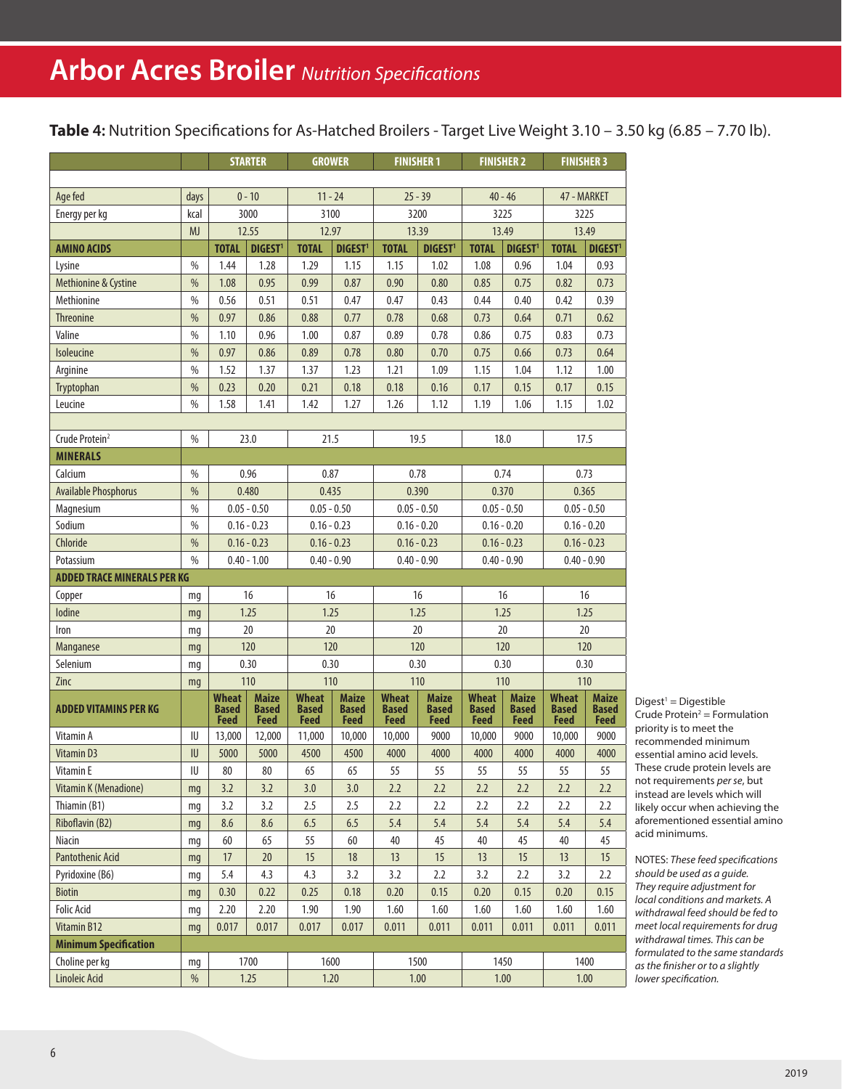**Table 4:** Nutrition Specifications for As-Hatched Broilers - Target Live Weight 3.10 – 3.50 kg (6.85 – 7.70 lb).

|                                    |                  |                                      | <b>STARTER</b>                              | <b>GROWER</b>                        |                                             | <b>FINISHER 1</b>                           |                                      | <b>FINISHER 2</b>                    |                                             | <b>FINISHER 3</b>                           |                               |
|------------------------------------|------------------|--------------------------------------|---------------------------------------------|--------------------------------------|---------------------------------------------|---------------------------------------------|--------------------------------------|--------------------------------------|---------------------------------------------|---------------------------------------------|-------------------------------|
|                                    |                  |                                      |                                             |                                      |                                             |                                             |                                      |                                      |                                             |                                             |                               |
| Age fed                            | days             | $0 - 10$                             |                                             | $11 - 24$                            |                                             | $25 - 39$                                   |                                      | $40 - 46$                            |                                             | 47 - MARKET                                 |                               |
| Energy per kg                      | kcal             |                                      | 3000                                        | 3100                                 |                                             | 3200                                        |                                      | 3225                                 |                                             | 3225                                        |                               |
|                                    | <b>MJ</b>        |                                      | 12.55                                       | 12.97                                |                                             | 13.39                                       |                                      | 13.49                                |                                             | 13.49                                       |                               |
| <b>AMINO ACIDS</b>                 |                  | <b>TOTAL</b>                         | <b>DIGEST<sup>1</sup></b>                   | <b>TOTAL</b>                         | <b>DIGEST<sup>1</sup></b>                   | <b>TOTAL</b>                                | DIGEST <sup>1</sup>                  | <b>TOTAL</b>                         | <b>DIGEST</b>                               | <b>TOTAL</b>                                | DIGEST <sup>1</sup>           |
| Lysine                             | %                | 1.44                                 | 1.28                                        | 1.29                                 | 1.15                                        | 1.15                                        | 1.02                                 | 1.08                                 | 0.96                                        | 1.04                                        | 0.93                          |
| Methionine & Cystine               | $\frac{0}{0}$    | 1.08                                 | 0.95                                        | 0.99                                 | 0.87                                        | 0.90                                        | 0.80                                 | 0.85                                 | 0.75                                        | 0.82                                        | 0.73                          |
| Methionine                         | $\%$             | 0.56                                 | 0.51                                        | 0.51                                 | 0.47                                        | 0.47                                        | 0.43                                 | 0.44                                 | 0.40                                        | 0.42                                        | 0.39                          |
| Threonine                          | $\%$             | 0.97                                 | 0.86                                        | 0.88                                 | 0.77                                        | 0.78                                        | 0.68                                 | 0.73                                 | 0.64                                        | 0.71                                        | 0.62                          |
| Valine                             | %                | 1.10                                 | 0.96                                        | 1.00                                 | 0.87                                        | 0.89                                        | 0.78                                 | 0.86                                 | 0.75                                        | 0.83                                        | 0.73                          |
| Isoleucine                         | %                | 0.97                                 | 0.86                                        | 0.89                                 | 0.78                                        | 0.80                                        | 0.70                                 | 0.75                                 | 0.66                                        | 0.73                                        | 0.64                          |
| Arginine                           | $\frac{0}{0}$    | 1.52                                 | 1.37                                        | 1.37                                 | 1.23                                        | 1.21                                        | 1.09                                 | 1.15                                 | 1.04                                        | 1.12                                        | 1.00                          |
| Tryptophan                         | $\%$             | 0.23                                 | 0.20                                        | 0.21                                 | 0.18                                        | 0.18                                        | 0.16                                 | 0.17                                 | 0.15                                        | 0.17                                        | 0.15                          |
| Leucine                            | $\frac{0}{0}$    | 1.58                                 | 1.41                                        | 1.42                                 | 1.27                                        | 1.26                                        | 1.12                                 | 1.19                                 | 1.06                                        | 1.15                                        | 1.02                          |
|                                    |                  |                                      |                                             |                                      |                                             |                                             |                                      |                                      |                                             |                                             |                               |
| Crude Protein <sup>2</sup>         | $\frac{0}{0}$    |                                      | 23.0                                        | 21.5                                 |                                             |                                             | 19.5                                 |                                      | 18.0                                        | 17.5                                        |                               |
| <b>MINERALS</b>                    |                  |                                      |                                             |                                      |                                             |                                             |                                      |                                      |                                             |                                             |                               |
| Calcium                            | $\frac{0}{0}$    |                                      | 0.96                                        | 0.87                                 |                                             |                                             | 0.78                                 |                                      | 0.74                                        | 0.73                                        |                               |
| <b>Available Phosphorus</b>        | $\%$             |                                      | 0.480                                       | 0.435                                |                                             | 0.390                                       |                                      | 0.370                                |                                             | 0.365                                       |                               |
| Magnesium                          | %                |                                      | $0.05 - 0.50$                               | $0.05 - 0.50$                        |                                             | $0.05 - 0.50$                               |                                      | $0.05 - 0.50$                        |                                             | $0.05 - 0.50$                               |                               |
| Sodium                             | $\frac{0}{0}$    |                                      | $0.16 - 0.23$                               | $0.16 - 0.23$                        |                                             | $0.16 - 0.20$                               |                                      | $0.16 - 0.20$                        |                                             | $0.16 - 0.20$                               |                               |
| Chloride                           | %                | $0.16 - 0.23$                        |                                             | $0.16 - 0.23$                        |                                             | $0.16 - 0.23$                               |                                      | $0.16 - 0.23$                        |                                             | $0.16 - 0.23$                               |                               |
| Potassium                          | $\frac{0}{0}$    | $0.40 - 1.00$                        |                                             | $0.40 - 0.90$                        |                                             | $0.40 - 0.90$                               |                                      | $0.40 - 0.90$                        |                                             | $0.40 - 0.90$                               |                               |
| <b>ADDED TRACE MINERALS PER KG</b> |                  |                                      |                                             |                                      |                                             |                                             |                                      |                                      |                                             |                                             |                               |
| Copper                             | mq               |                                      | 16                                          | 16                                   |                                             |                                             | 16                                   |                                      | 16                                          | 16                                          |                               |
| lodine                             | mq               |                                      | 1.25                                        | 1.25                                 |                                             |                                             | 1.25                                 | 1.25                                 |                                             | 1.25                                        |                               |
| Iron                               | mq               |                                      | 20                                          | 20                                   |                                             |                                             | 20                                   |                                      | 20                                          | 20                                          |                               |
| Manganese                          | mg               |                                      | 120                                         | 120                                  |                                             |                                             | 120                                  |                                      | 120                                         | 120                                         |                               |
| Selenium                           | mq               |                                      | 0.30                                        | 0.30                                 |                                             |                                             | 0.30                                 |                                      | 0.30                                        | 0.30                                        |                               |
| Zinc                               | mq               |                                      | 110                                         | 110                                  |                                             | 110                                         |                                      | 110                                  |                                             | 110                                         |                               |
| <b>ADDED VITAMINS PER KG</b>       |                  | Wheat<br><b>Based</b><br><b>Feed</b> | <b>Maize</b><br><b>Based</b><br><b>Feed</b> | <b>Wheat</b><br><b>Based</b><br>Feed | <b>Maize</b><br><b>Based</b><br><b>Feed</b> | <b>Wheat</b><br><b>Based</b><br><b>Feed</b> | <b>Maize</b><br><b>Based</b><br>Feed | <b>Wheat</b><br><b>Based</b><br>Feed | <b>Maize</b><br><b>Based</b><br><b>Feed</b> | <b>Wheat</b><br><b>Based</b><br><b>Feed</b> | <b>Maize</b><br>Based<br>Feed |
| Vitamin A                          | IU               | 13,000                               | 12,000                                      | 11,000                               | 10,000                                      | 10,000                                      | 9000                                 | 10,000                               | 9000                                        | 10,000                                      | 9000                          |
| Vitamin D3                         | ${\sf I}{\sf U}$ | 5000                                 | 5000                                        | 4500                                 | 4500                                        | 4000                                        | 4000                                 | 4000                                 | 4000                                        | 4000                                        | 4000                          |
| Vitamin E                          | ${\sf I}{\sf U}$ | 80                                   | 80                                          | 65                                   | 65                                          | 55                                          | 55                                   | 55                                   | 55                                          | 55                                          | 55                            |
| Vitamin K (Menadione)              | mq               | 3.2                                  | 3.2                                         | 3.0                                  | 3.0                                         | 2.2                                         | 2.2                                  | 2.2                                  | 2.2                                         | 2.2                                         | 2.2                           |
| Thiamin (B1)                       | mg               | 3.2                                  | 3.2                                         | 2.5                                  | 2.5                                         | 2.2                                         | 2.2                                  | 2.2                                  | 2.2                                         | 2.2                                         | 2.2                           |
| Riboflavin (B2)                    | mq               | 8.6                                  | 8.6                                         | 6.5                                  | 6.5                                         | 5.4                                         | 5.4                                  | 5.4                                  | 5.4                                         | 5.4                                         | 5.4                           |
| Niacin                             | mq               | 60                                   | 65                                          | 55                                   | 60                                          | 40                                          | 45                                   | 40                                   | 45                                          | 40                                          | 45                            |
| <b>Pantothenic Acid</b>            | mq               | 17                                   | $20\,$                                      | 15                                   | $18$                                        | 13                                          | 15                                   | 13                                   | 15                                          | 13                                          | 15                            |
| Pyridoxine (B6)                    | mg               | 5.4                                  | 4.3                                         | 4.3                                  | 3.2                                         | 3.2                                         | 2.2                                  | 3.2                                  | 2.2                                         | 3.2                                         | 2.2                           |
| <b>Biotin</b>                      | mg               | 0.30                                 | 0.22                                        | 0.25                                 | 0.18                                        | 0.20                                        | 0.15                                 | 0.20                                 | 0.15                                        | 0.20                                        | 0.15                          |
| <b>Folic Acid</b>                  | mq               | 2.20                                 | 2.20                                        | 1.90                                 | 1.90                                        | 1.60                                        | 1.60                                 | 1.60                                 | 1.60                                        | 1.60                                        | 1.60                          |
| Vitamin B12                        | mg               | 0.017                                | 0.017                                       | 0.017                                | 0.017                                       | 0.011                                       | 0.011                                | 0.011                                | 0.011                                       | 0.011                                       | 0.011                         |
| <b>Minimum Specification</b>       |                  |                                      |                                             |                                      |                                             |                                             |                                      |                                      |                                             |                                             |                               |
| Choline per kg                     | mq               |                                      | 1700                                        | 1600                                 |                                             |                                             | 1500                                 | 1450                                 |                                             |                                             | 1400                          |
| <b>Linoleic Acid</b>               | %                |                                      | 1.25                                        | 1.20                                 |                                             | 1.00                                        |                                      | 1.00                                 |                                             | 1.00                                        |                               |

 $Digest<sup>1</sup> = Digestible$ Crude Protein<sup>2</sup> = Formulation priority is to meet the recommended minimum essential amino acid levels. These crude protein levels are not requirements *per se*, but instead are levels which will likely occur when achieving the aforementioned essential amino acid minimums.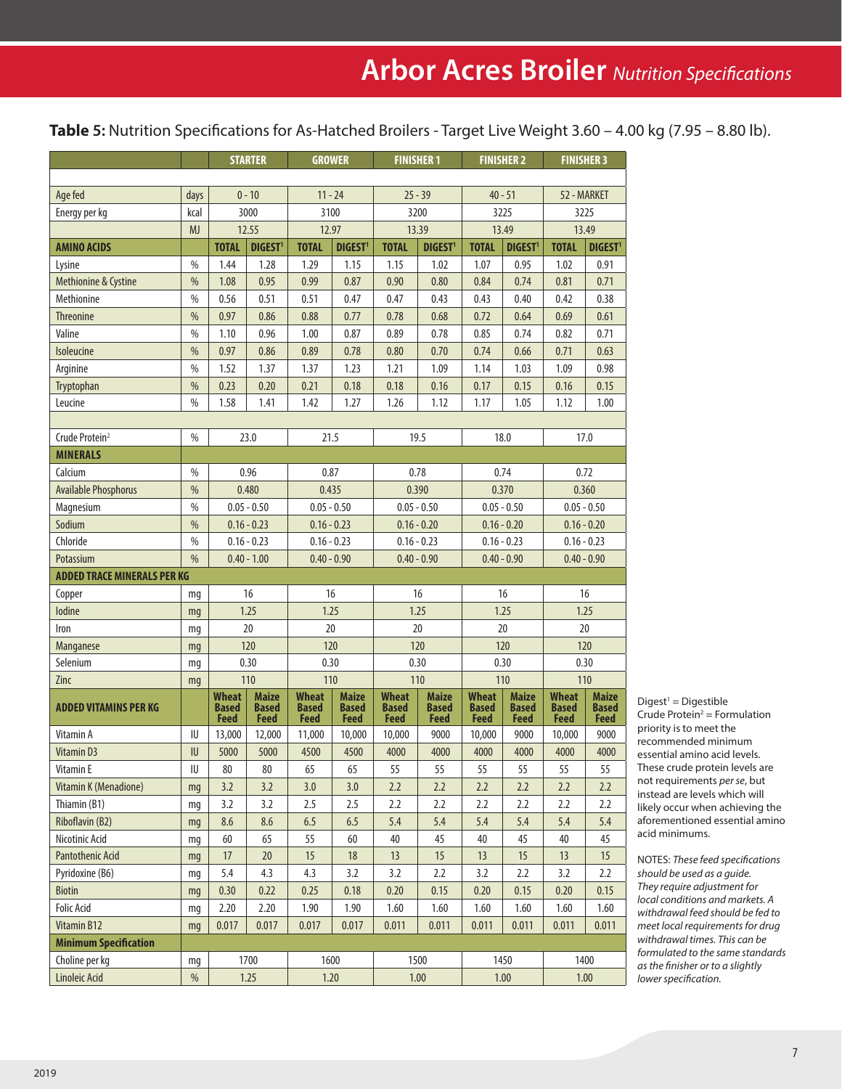**Table 5:** Nutrition Specifications for As-Hatched Broilers - Target Live Weight 3.60 – 4.00 kg (7.95 – 8.80 lb).

|                                    |               |                                      | <b>STARTER</b>                       | <b>GROWER</b>                        |                                      | <b>FINISHER 1</b>                           |                                      | <b>FINISHER 2</b>             |                                             | <b>FINISHER 3</b>                    |                                             |  |
|------------------------------------|---------------|--------------------------------------|--------------------------------------|--------------------------------------|--------------------------------------|---------------------------------------------|--------------------------------------|-------------------------------|---------------------------------------------|--------------------------------------|---------------------------------------------|--|
|                                    |               |                                      |                                      |                                      |                                      |                                             |                                      |                               |                                             |                                      |                                             |  |
| Age fed                            | days          | $0 - 10$                             |                                      | $11 - 24$                            |                                      | $25 - 39$                                   |                                      | $40 - 51$                     |                                             | 52 - MARKET                          |                                             |  |
| Energy per kg                      | kcal          | 3000                                 |                                      | 3100                                 |                                      | 3200                                        |                                      | 3225                          |                                             | 3225                                 |                                             |  |
|                                    | <b>MJ</b>     |                                      | 12.55                                | 12.97                                |                                      | 13.39                                       |                                      | 13.49                         |                                             | 13.49                                |                                             |  |
| <b>AMINO ACIDS</b>                 |               | <b>TOTAL</b>                         | <b>DIGEST<sup>1</sup></b>            | <b>TOTAL</b>                         | <b>DIGEST</b>                        | <b>TOTAL</b>                                | <b>DIGEST<sup>1</sup></b>            | <b>TOTAL</b>                  | <b>DIGEST</b>                               | <b>TOTAL</b>                         | <b>DIGEST1</b>                              |  |
| Lysine                             | %             | 1.44                                 | 1.28                                 | 1.29                                 | 1.15                                 | 1.15                                        | 1.02                                 | 1.07                          | 0.95                                        | 1.02                                 | 0.91                                        |  |
| Methionine & Cystine               | $\%$          | 1.08                                 | 0.95                                 | 0.99                                 | 0.87                                 | 0.90                                        | 0.80                                 | 0.84                          | 0.74                                        | 0.81                                 | 0.71                                        |  |
| Methionine                         | $\frac{0}{0}$ | 0.56                                 | 0.51                                 | 0.51                                 | 0.47                                 | 0.47                                        | 0.43                                 | 0.43                          | 0.40                                        | 0.42                                 | 0.38                                        |  |
| <b>Threonine</b>                   | %             | 0.97                                 | 0.86                                 | 0.88                                 | 0.77                                 | 0.78                                        | 0.68                                 | 0.72                          | 0.64                                        | 0.69                                 | 0.61                                        |  |
| Valine                             | $\%$          | 1.10                                 | 0.96                                 | 1.00                                 | 0.87                                 | 0.89                                        | 0.78                                 | 0.85                          | 0.74                                        | 0.82                                 | 0.71                                        |  |
| Isoleucine                         | $\frac{0}{0}$ | 0.97                                 | 0.86                                 | 0.89                                 | 0.78                                 | 0.80                                        | 0.70                                 | 0.74                          | 0.66                                        | 0.71                                 | 0.63                                        |  |
| Arginine                           | $\frac{0}{0}$ | 1.52                                 | 1.37                                 | 1.37                                 | 1.23                                 | 1.21                                        | 1.09                                 | 1.14                          | 1.03                                        | 1.09                                 | 0.98                                        |  |
| Tryptophan                         | $\frac{0}{0}$ | 0.23                                 | 0.20                                 | 0.21                                 | 0.18                                 | 0.18                                        | 0.16                                 | 0.17                          | 0.15                                        | 0.16                                 | 0.15                                        |  |
| Leucine                            | $\frac{0}{0}$ | 1.58                                 | 1.41                                 | 1.42                                 | 1.27                                 | 1.26                                        | 1.12                                 | 1.17                          | 1.05                                        | 1.12                                 | 1.00                                        |  |
|                                    |               |                                      |                                      |                                      |                                      |                                             |                                      |                               |                                             |                                      |                                             |  |
| Crude Protein <sup>2</sup>         | $\%$          |                                      | 23.0                                 | 21.5                                 |                                      |                                             | 19.5                                 |                               | 18.0                                        | 17.0                                 |                                             |  |
| <b>MINERALS</b>                    |               |                                      |                                      |                                      |                                      |                                             |                                      |                               |                                             |                                      |                                             |  |
| Calcium                            | $\frac{0}{0}$ |                                      | 0.96                                 | 0.87                                 |                                      |                                             | 0.78                                 |                               | 0.74                                        | 0.72                                 |                                             |  |
| <b>Available Phosphorus</b>        | $\%$          |                                      | 0.480                                | 0.435                                |                                      | 0.390                                       |                                      | 0.370                         |                                             | 0.360                                |                                             |  |
| Magnesium                          | $\%$          |                                      | $0.05 - 0.50$                        | $0.05 - 0.50$                        |                                      | $0.05 - 0.50$                               |                                      | $0.05 - 0.50$                 |                                             | $0.05 - 0.50$                        |                                             |  |
| Sodium                             | $\frac{0}{0}$ |                                      | $0.16 - 0.23$                        |                                      | $0.16 - 0.23$                        |                                             | $0.16 - 0.20$                        |                               | $0.16 - 0.20$                               |                                      | $0.16 - 0.20$                               |  |
| Chloride                           | $\%$          | $0.16 - 0.23$                        |                                      | $0.16 - 0.23$                        |                                      | $0.16 - 0.23$                               |                                      | $0.16 - 0.23$                 |                                             | $0.16 - 0.23$                        |                                             |  |
| Potassium                          | $\frac{0}{0}$ | $0.40 - 1.00$                        |                                      | $0.40 - 0.90$                        |                                      | $0.40 - 0.90$                               |                                      | $0.40 - 0.90$                 |                                             | $0.40 - 0.90$                        |                                             |  |
| <b>ADDED TRACE MINERALS PER KG</b> |               |                                      |                                      |                                      |                                      |                                             |                                      |                               |                                             |                                      |                                             |  |
| Copper                             | mq            | 16                                   |                                      | 16                                   |                                      | 16                                          |                                      | 16                            |                                             | 16                                   |                                             |  |
| lodine                             | mq            |                                      | 1.25                                 | 1.25                                 |                                      | 1.25                                        |                                      | 1.25                          |                                             | 1.25                                 |                                             |  |
| Iron                               | mg            |                                      | 20                                   | 20                                   |                                      |                                             | 20                                   | 20                            |                                             | 20                                   |                                             |  |
| <b>Manganese</b>                   | mg            |                                      | 120                                  | 120                                  |                                      |                                             | 120                                  |                               | 120                                         | 120                                  |                                             |  |
| Selenium                           | mq            |                                      | 0.30                                 | 0.30                                 |                                      | 0.30                                        |                                      |                               | 0.30                                        | 0.30                                 |                                             |  |
| Zinc                               | mq            |                                      | 110                                  | 110                                  |                                      | 110                                         |                                      | 110                           |                                             | 110                                  |                                             |  |
| <b>ADDED VITAMINS PER KG</b>       |               | Wheat<br><b>Based</b><br><b>Feed</b> | <b>Maize</b><br>Based<br><b>Feed</b> | <b>Wheat</b><br><b>Based</b><br>Feed | <b>Maize</b><br><b>Based</b><br>Feed | <b>Wheat</b><br><b>Based</b><br><b>Feed</b> | <b>Maize</b><br><b>Based</b><br>Feed | Wheat<br><b>Based</b><br>Feed | <b>Maize</b><br><b>Based</b><br><b>Feed</b> | <b>Wheat</b><br><b>Based</b><br>Feed | <b>Maize</b><br><b>Based</b><br><b>Feed</b> |  |
| Vitamin A                          | IU            | 13,000                               | 12,000                               | 11,000                               | 10,000                               | 10,000                                      | 9000                                 | 10,000                        | 9000                                        | 10,000                               | 9000                                        |  |
| Vitamin D3                         | $\sf I\sf U$  | 5000                                 | 5000                                 | 4500                                 | 4500                                 | 4000                                        | 4000                                 | 4000                          | 4000                                        | 4000                                 | 4000                                        |  |
| Vitamin E                          | IU            | 80                                   | 80                                   | 65                                   | 65                                   | 55                                          | 55                                   | 55                            | 55                                          | 55                                   | 55                                          |  |
| Vitamin K (Menadione)              | mq            | 3.2                                  | 3.2                                  | 3.0                                  | 3.0                                  | 2.2                                         | 2.2                                  | 2.2                           | 2.2                                         | 2.2                                  | 2.2                                         |  |
| Thiamin (B1)                       | mq            | 3.2                                  | 3.2                                  | 2.5                                  | 2.5                                  | 2.2                                         | 2.2                                  | 2.2                           | 2.2                                         | 2.2                                  | 2.2                                         |  |
| Riboflavin (B2)                    | mq            | 8.6                                  | 8.6                                  | 6.5                                  | 6.5                                  | 5.4                                         | 5.4                                  | 5.4                           | 5.4                                         | 5.4                                  | 5.4                                         |  |
| Nicotinic Acid                     | mg            | 60                                   | 65                                   | 55                                   | 60                                   | 40                                          | 45                                   | 40                            | 45                                          | 40                                   | 45                                          |  |
| <b>Pantothenic Acid</b>            | mg            | 17                                   | 20                                   | 15                                   | $18$                                 | 13                                          | 15                                   | 13                            | 15                                          | 13                                   | 15                                          |  |
| Pyridoxine (B6)                    | mq            | 5.4                                  | 4.3                                  | 4.3                                  | 3.2                                  | 3.2                                         | 2.2                                  | 3.2                           | 2.2                                         | 3.2                                  | 2.2                                         |  |
| <b>Biotin</b>                      | mg            | 0.30                                 | 0.22                                 | 0.25                                 | 0.18                                 | 0.20                                        | 0.15                                 | 0.20                          | 0.15                                        | 0.20                                 | 0.15                                        |  |
| <b>Folic Acid</b>                  | mg            | 2.20                                 | 2.20                                 | 1.90                                 | 1.90                                 | 1.60                                        | 1.60                                 | 1.60                          | 1.60                                        | 1.60                                 | 1.60                                        |  |
| Vitamin B12                        | mg            | 0.017                                | 0.017                                | 0.017                                | 0.017                                | 0.011                                       | 0.011                                | 0.011                         | 0.011                                       | 0.011                                | 0.011                                       |  |
| <b>Minimum Specification</b>       |               |                                      |                                      |                                      |                                      |                                             |                                      |                               |                                             |                                      |                                             |  |
| Choline per kg                     | mg            |                                      | 1700                                 | 1600                                 |                                      | 1500                                        |                                      | 1450                          |                                             | 1400                                 |                                             |  |
| Linoleic Acid                      | %             |                                      | 1.25                                 | 1.20                                 |                                      | 1.00                                        |                                      | $1.00\,$                      |                                             | 1.00                                 |                                             |  |

 $Digest<sup>1</sup> = Digestible$ Crude Protein<sup>2</sup> = Formulation priority is to meet the recommended minimum essential amino acid levels. These crude protein levels are not requirements *per se*, but instead are levels which will likely occur when achieving the aforementioned essential amino acid minimums.